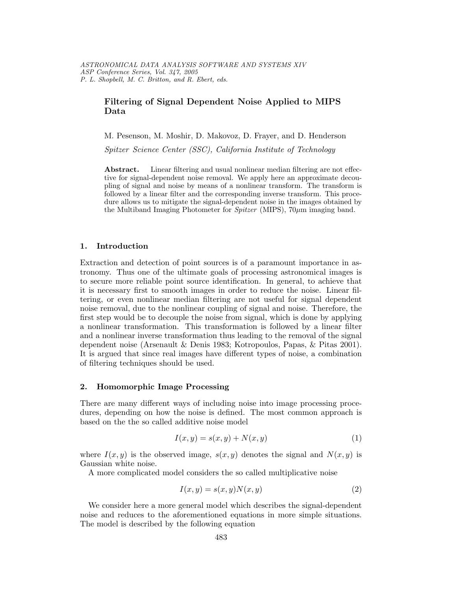# Filtering of Signal Dependent Noise Applied to MIPS Data

M. Pesenson, M. Moshir, D. Makovoz, D. Frayer, and D. Henderson

Spitzer Science Center (SSC), California Institute of Technology

Abstract. Linear filtering and usual nonlinear median filtering are not effective for signal-dependent noise removal. We apply here an approximate decoupling of signal and noise by means of a nonlinear transform. The transform is followed by a linear filter and the corresponding inverse transform. This procedure allows us to mitigate the signal-dependent noise in the images obtained by the Multiband Imaging Photometer for  $Spitzer$  (MIPS),  $70\mu m$  imaging band.

## 1. Introduction

Extraction and detection of point sources is of a paramount importance in astronomy. Thus one of the ultimate goals of processing astronomical images is to secure more reliable point source identification. In general, to achieve that it is necessary first to smooth images in order to reduce the noise. Linear filtering, or even nonlinear median filtering are not useful for signal dependent noise removal, due to the nonlinear coupling of signal and noise. Therefore, the first step would be to decouple the noise from signal, which is done by applying a nonlinear transformation. This transformation is followed by a linear filter and a nonlinear inverse transformation thus leading to the removal of the signal dependent noise (Arsenault & Denis 1983; Kotropoulos, Papas, & Pitas 2001). It is argued that since real images have different types of noise, a combination of filtering techniques should be used.

### 2. Homomorphic Image Processing

There are many different ways of including noise into image processing procedures, depending on how the noise is defined. The most common approach is based on the the so called additive noise model

$$
I(x,y) = s(x,y) + N(x,y)
$$
\n<sup>(1)</sup>

where  $I(x, y)$  is the observed image,  $s(x, y)$  denotes the signal and  $N(x, y)$  is Gaussian white noise.

A more complicated model considers the so called multiplicative noise

$$
I(x, y) = s(x, y)N(x, y)
$$
\n<sup>(2)</sup>

We consider here a more general model which describes the signal-dependent noise and reduces to the aforementioned equations in more simple situations. The model is described by the following equation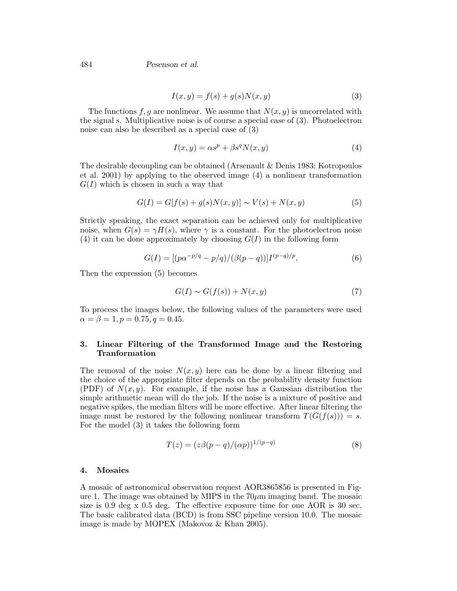484 Pesenson et al.

$$
I(x,y) = f(s) + g(s)N(x,y)
$$
\n(3)

The functions f, g are nonlinear. We assume that  $N(x, y)$  is uncorrelated with the signal s. Multiplicative noise is of course a special case of (3). Photoelectron noise can also be described as a special case of (3)

$$
I(x,y) = \alpha s^p + \beta s^q N(x,y)
$$
\n<sup>(4)</sup>

The desirable decoupling can be obtained (Arsenault & Denis 1983; Kotropoulos et al. 2001) by applying to the observed image (4) a nonlinear transformation  $G(I)$  which is chosen in such a way that

$$
G(I) = G[f(s) + g(s)N(x, y)] \sim V(s) + N(x, y)
$$
\n(5)

Strictly speaking, the exact separation can be achieved only for multiplicative noise, when  $G(s) = \gamma H(s)$ , where  $\gamma$  is a constant. For the photoelectron noise (4) it can be done approximately by choosing  $G(I)$  in the following form

$$
G(I) = \left[ (p\alpha^{-p/q} - p/q) / (\beta(p-q)) \right] I^{(p-q)/p},\tag{6}
$$

Then the expression (5) becomes

$$
G(I) \sim G(f(s)) + N(x, y) \tag{7}
$$

To process the images below, the following values of the parameters were used  $\alpha = \beta = 1, p = 0.75, q = 0.45.$ 

## 3. Linear Filtering of the Transformed Image and the Restoring Tranformation

The removal of the noise  $N(x, y)$  here can be done by a linear filtering and the choice of the appropriate filter depends on the probability density function (PDF) of  $N(x, y)$ . For example, if the noise has a Gaussian distribution the simple arithmetic mean will do the job. If the noise is a mixture of positive and negative spikes, the median filters will be more effective. After linear filtering the image must be restored by the following nonlinear transform  $T(G(f(s))) = s$ . For the model (3) it takes the following form

$$
T(z) = (z\beta(p-q)/(\alpha p))^{1/(p-q)}
$$
\n(8)

#### 4. Mosaics

A mosaic of astronomical observation request AOR3865856 is presented in Figure 1. The image was obtained by MIPS in the  $70\mu$ m imaging band. The mosaic size is 0.9 deg x 0.5 deg. The effective exposure time for one AOR is 30 sec. The basic calibrated data (BCD) is from SSC pipeline version 10.0. The mosaic image is made by MOPEX (Makovoz & Khan 2005).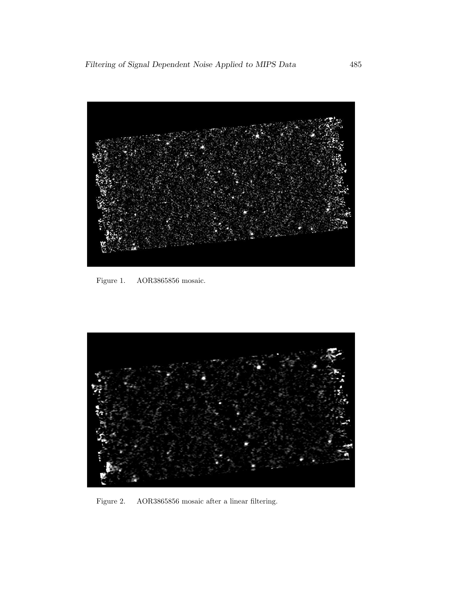

Figure 1. AOR3865856 mosaic.



Figure 2. AOR3865856 mosaic after a linear filtering.